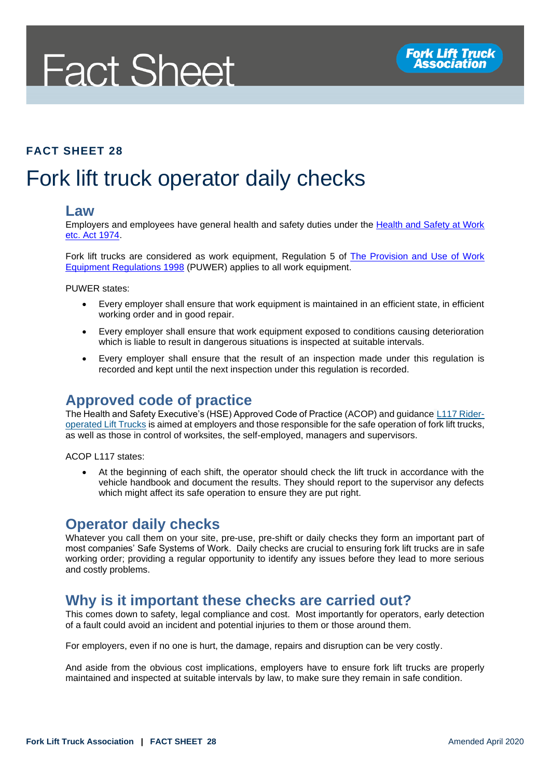# **Fact Sheet**

#### **FACT SHEET 28**

### Fork lift truck operator daily checks

#### **Law**

Employers and employees have general health and safety duties under the **Health and Safety at Work** [etc. Act 1974.](http://www.legislation.gov.uk/ukpga/1974/37/contents)

Fork lift trucks are considered as work equipment, Regulation 5 of [The Provision and Use of Work](http://www.legislation.gov.uk/uksi/1998/2306/regulation/5/made)  [Equipment Regulations 1998](http://www.legislation.gov.uk/uksi/1998/2306/regulation/5/made) (PUWER) applies to all work equipment.

PUWER states:

- Every employer shall ensure that work equipment is maintained in an efficient state, in efficient working order and in good repair.
- Every employer shall ensure that work equipment exposed to conditions causing deterioration which is liable to result in dangerous situations is inspected at suitable intervals.
- Every employer shall ensure that the result of an inspection made under this regulation is recorded and kept until the next inspection under this regulation is recorded.

### **Approved code of practice**

The Health and Safety Executive's (HSE) Approved Code of Practice (ACOP) and guidance [L117 Rider](http://www.hse.gov.uk/pUbns/priced/l117.pdf)[operated Lift Trucks](http://www.hse.gov.uk/pUbns/priced/l117.pdf) is aimed at employers and those responsible for the safe operation of fork lift trucks, as well as those in control of worksites, the self-employed, managers and supervisors.

ACOP L117 states:

• At the beginning of each shift, the operator should check the lift truck in accordance with the vehicle handbook and document the results. They should report to the supervisor any defects which might affect its safe operation to ensure they are put right.

### **Operator daily checks**

Whatever you call them on your site, pre-use, pre-shift or daily checks they form an important part of most companies' Safe Systems of Work. Daily checks are crucial to ensuring fork lift trucks are in safe working order; providing a regular opportunity to identify any issues before they lead to more serious and costly problems.

### **Why is it important these checks are carried out?**

This comes down to safety, legal compliance and cost. Most importantly for operators, early detection of a fault could avoid an incident and potential injuries to them or those around them.

For employers, even if no one is hurt, the damage, repairs and disruption can be very costly.

And aside from the obvious cost implications, employers have to ensure fork lift trucks are properly maintained and inspected at suitable intervals by law, to make sure they remain in safe condition.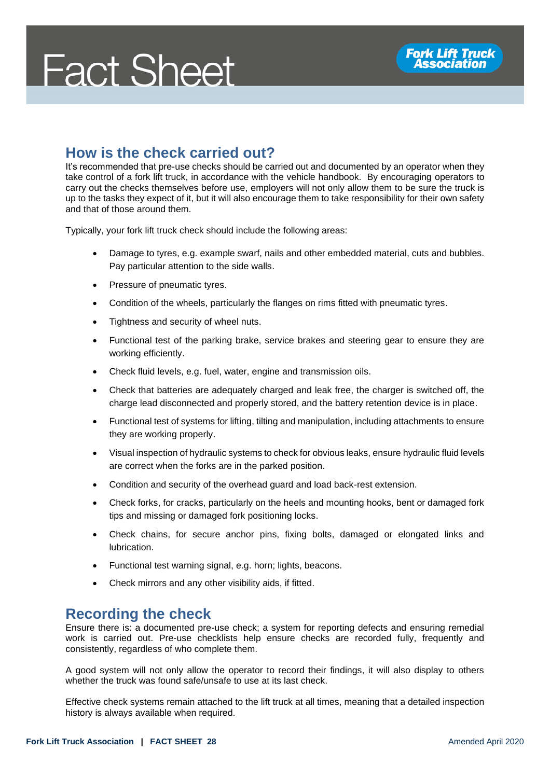## **Fact Sheet**

### **How is the check carried out?**

It's recommended that pre-use checks should be carried out and documented by an operator when they take control of a fork lift truck, in accordance with the vehicle handbook. By encouraging operators to carry out the checks themselves before use, employers will not only allow them to be sure the truck is up to the tasks they expect of it, but it will also encourage them to take responsibility for their own safety and that of those around them.

Typically, your fork lift truck check should include the following areas:

- Damage to tyres, e.g. example swarf, nails and other embedded material, cuts and bubbles. Pay particular attention to the side walls.
- Pressure of pneumatic tyres.
- Condition of the wheels, particularly the flanges on rims fitted with pneumatic tyres.
- Tightness and security of wheel nuts.
- Functional test of the parking brake, service brakes and steering gear to ensure they are working efficiently.
- Check fluid levels, e.g. fuel, water, engine and transmission oils.
- Check that batteries are adequately charged and leak free, the charger is switched off, the charge lead disconnected and properly stored, and the battery retention device is in place.
- Functional test of systems for lifting, tilting and manipulation, including attachments to ensure they are working properly.
- Visual inspection of hydraulic systems to check for obvious leaks, ensure hydraulic fluid levels are correct when the forks are in the parked position.
- Condition and security of the overhead guard and load back-rest extension.
- Check forks, for cracks, particularly on the heels and mounting hooks, bent or damaged fork tips and missing or damaged fork positioning locks.
- Check chains, for secure anchor pins, fixing bolts, damaged or elongated links and lubrication.
- Functional test warning signal, e.g. horn; lights, beacons.
- Check mirrors and any other visibility aids, if fitted.

### **Recording the check**

Ensure there is: a documented pre-use check; a system for reporting defects and ensuring remedial work is carried out. Pre-use checklists help ensure checks are recorded fully, frequently and consistently, regardless of who complete them.

A good system will not only allow the operator to record their findings, it will also display to others whether the truck was found safe/unsafe to use at its last check.

Effective check systems remain attached to the lift truck at all times, meaning that a detailed inspection history is always available when required.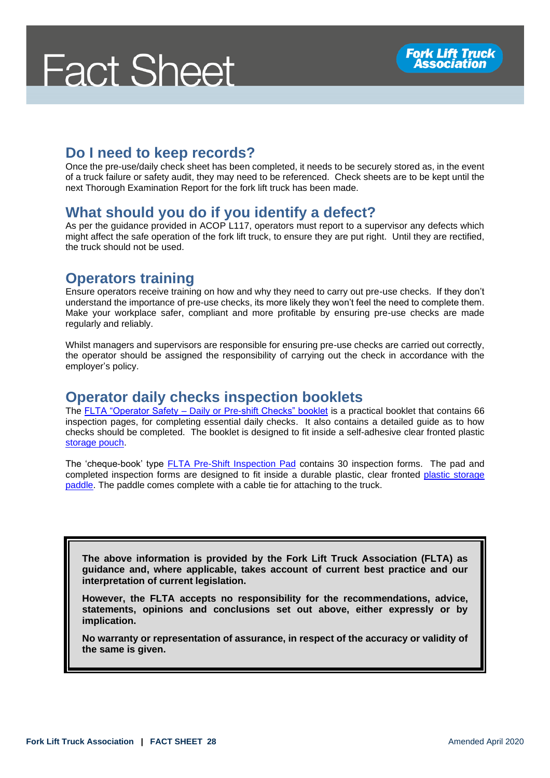### **Do I need to keep records?**

Once the pre-use/daily check sheet has been completed, it needs to be securely stored as, in the event of a truck failure or safety audit, they may need to be referenced. Check sheets are to be kept until the next Thorough Examination Report for the fork lift truck has been made.

### **What should you do if you identify a defect?**

As per the guidance provided in ACOP L117, operators must report to a supervisor any defects which might affect the safe operation of the fork lift truck, to ensure they are put right. Until they are rectified, the truck should not be used.

### **Operators training**

Ensure operators receive training on how and why they need to carry out pre-use checks. If they don't understand the importance of pre-use checks, its more likely they won't feel the need to complete them. Make your workplace safer, compliant and more profitable by ensuring pre-use checks are made regularly and reliably.

Whilst managers and supervisors are responsible for ensuring pre-use checks are carried out correctly, the operator should be assigned the responsibility of carrying out the check in accordance with the employer's policy.

### **Operator daily checks inspection booklets**

The FLTA "Operator Safety – [Daily or Pre-shift Checks" booklet](https://fork-truck.org.uk/product/daily-checks/) is a practical booklet that contains 66 inspection pages, for completing essential daily checks. It also contains a detailed guide as to how checks should be completed. The booklet is designed to fit inside a self-adhesive clear fronted plastic [storage pouch.](https://fork-truck.org.uk/product/plastic-pouch/)

The 'cheque-book' type [FLTA Pre-Shift Inspection Pad](https://fork-truck.org.uk/product/safe-truck-pre-shift-inspection-pads/) contains 30 inspection forms. The pad and completed inspection forms are designed to fit inside a durable plastic, clear fronted [plastic storage](https://fork-truck.org.uk/product/safe-truck-pre-shift-inspection-paddles/)  [paddle.](https://fork-truck.org.uk/product/safe-truck-pre-shift-inspection-paddles/) The paddle comes complete with a cable tie for attaching to the truck.

**The above information is provided by the Fork Lift Truck Association (FLTA) as guidance and, where applicable, takes account of current best practice and our interpretation of current legislation.** 

**However, the FLTA accepts no responsibility for the recommendations, advice, statements, opinions and conclusions set out above, either expressly or by implication.**

**No warranty or representation of assurance, in respect of the accuracy or validity of the same is given.**